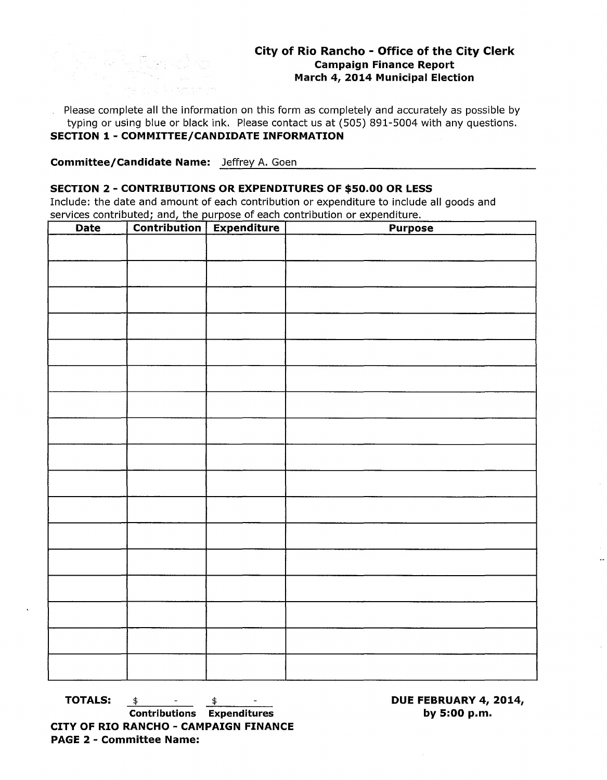Please complete all the information on this form as completely and accurately as possible by typing or using blue or black ink. Please contact us at (505) 891-5004 with any questions. **SECTION 1- COMMITTEE/CANDIDATE INFORMATION** 

**Committee/Candidate Name:** Jeffrey A. Goen

k Run d

## **SECTION 2 - CONTRIBUTIONS OR EXPENDITURES OF \$50.00 OR LESS**

Include: the date and amount of each contribution or expenditure to include all goods and services contributed; and, the purpose of each contribution or expenditure.

| <b>Date</b> | <b>Contribution</b> | <b>Expenditure</b> | <b>Purpose</b> |
|-------------|---------------------|--------------------|----------------|
|             |                     |                    |                |
|             |                     |                    |                |
|             |                     |                    |                |
|             |                     |                    |                |
|             |                     |                    |                |
|             |                     |                    |                |
|             |                     |                    |                |
|             |                     |                    |                |
|             |                     |                    |                |
|             |                     |                    |                |
|             |                     |                    |                |
|             |                     |                    |                |
|             |                     |                    |                |
|             |                     |                    |                |
|             |                     |                    |                |
|             |                     |                    |                |
|             |                     |                    |                |
|             |                     |                    |                |
|             |                     |                    |                |
|             |                     |                    |                |
|             |                     |                    |                |
|             |                     |                    |                |
|             |                     |                    |                |
|             |                     |                    |                |
|             |                     |                    |                |
|             |                     |                    |                |
|             |                     |                    |                |
|             |                     |                    |                |
|             |                     |                    |                |
|             |                     |                    |                |
|             |                     |                    |                |
|             |                     |                    |                |

**TOTALS:**  $\frac{\$}{ }$   $\frac{\$}{ }$ **Contributions Expenditures CITY OF RIO RANCHO - CAMPAIGN FINANCE PAGE 2 - Committee Name:** 

**DUE FEBRUARY 4, 2014, by 5:00p.m.**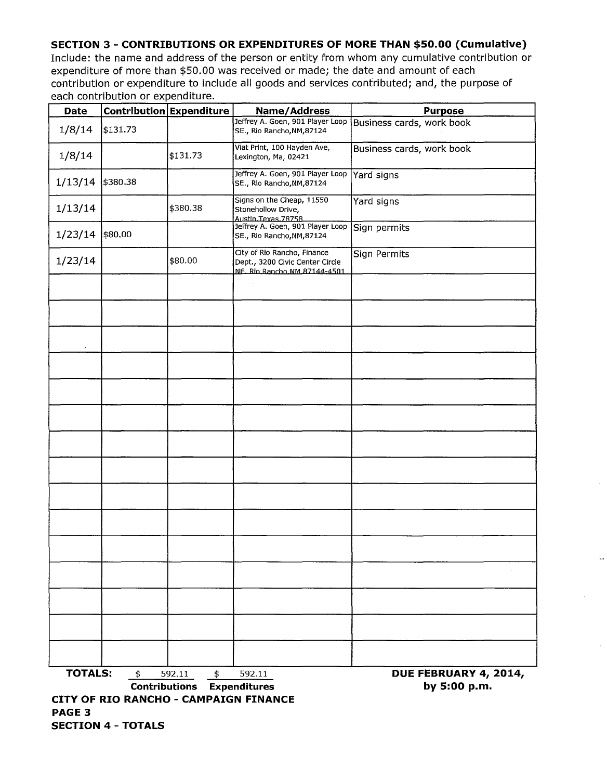## **SECTION 3- CONTRIBUTIONS OR EXPENDITURES OF MORE THAN \$50.00 (Cumulative)**

Include: the name and address of the person or entity from whom any cumulative contribution or expenditure of more than \$50.00 was received or made; the date and amount of each contribution or expenditure to include all goods and services contributed; and, the purpose of each contribution or expenditure. <u> 1999 - Jan Ja</u>

| Date              | <b>Contribution Expenditure</b>       |                                                              | <b>Name/Address</b>                                                                            | <b>Purpose</b>                        |  |  |
|-------------------|---------------------------------------|--------------------------------------------------------------|------------------------------------------------------------------------------------------------|---------------------------------------|--|--|
| 1/8/14            | \$131.73                              |                                                              | Jeffrey A. Goen, 901 Player Loop<br>SE., Rio Rancho, NM, 87124                                 | Business cards, work book             |  |  |
| 1/8/14            |                                       | \$131.73                                                     | Viat Print, 100 Hayden Ave,<br>Lexington, Ma, 02421                                            | Business cards, work book             |  |  |
| 1/13/14           | \$380.38                              |                                                              | Jeffrey A. Goen, 901 Player Loop<br>SE., Rio Rancho, NM, 87124                                 | Yard signs                            |  |  |
| 1/13/14           |                                       | \$380.38                                                     | Signs on the Cheap, 11550<br>Stonehollow Drive,<br>Austin Texas 78758                          | Yard signs                            |  |  |
| $1/23/14$ \$80.00 |                                       |                                                              | Jeffrey A. Goen, 901 Player Loop<br>SE., Rio Rancho, NM, 87124                                 | Sign permits                          |  |  |
| 1/23/14           |                                       | \$80.00                                                      | City of Rio Rancho, Finance<br>Dept., 3200 Civic Center Circle<br>NF. Rio Rancho NM 87144-4501 | <b>Sign Permits</b>                   |  |  |
|                   |                                       |                                                              |                                                                                                |                                       |  |  |
|                   |                                       |                                                              |                                                                                                |                                       |  |  |
|                   |                                       |                                                              |                                                                                                |                                       |  |  |
|                   |                                       |                                                              |                                                                                                |                                       |  |  |
|                   |                                       |                                                              |                                                                                                |                                       |  |  |
|                   |                                       |                                                              |                                                                                                |                                       |  |  |
|                   |                                       |                                                              |                                                                                                |                                       |  |  |
|                   |                                       |                                                              |                                                                                                |                                       |  |  |
|                   |                                       |                                                              |                                                                                                |                                       |  |  |
|                   |                                       |                                                              |                                                                                                |                                       |  |  |
|                   |                                       |                                                              |                                                                                                |                                       |  |  |
|                   |                                       |                                                              |                                                                                                |                                       |  |  |
|                   |                                       |                                                              |                                                                                                |                                       |  |  |
|                   |                                       |                                                              |                                                                                                |                                       |  |  |
|                   |                                       |                                                              |                                                                                                |                                       |  |  |
| <b>TOTALS:</b>    | \$                                    | 592.11<br>$\frac{1}{2}$<br><b>Contributions Expenditures</b> | 592.11                                                                                         | DUE FEBRUARY 4, 2014,<br>by 5:00 p.m. |  |  |
| <b>PAGE 3</b>     | CITY OF RIO RANCHO - CAMPAIGN FINANCE |                                                              |                                                                                                |                                       |  |  |

 $\ddot{\phantom{a}}$ 

**SECTION 4- TOTALS**